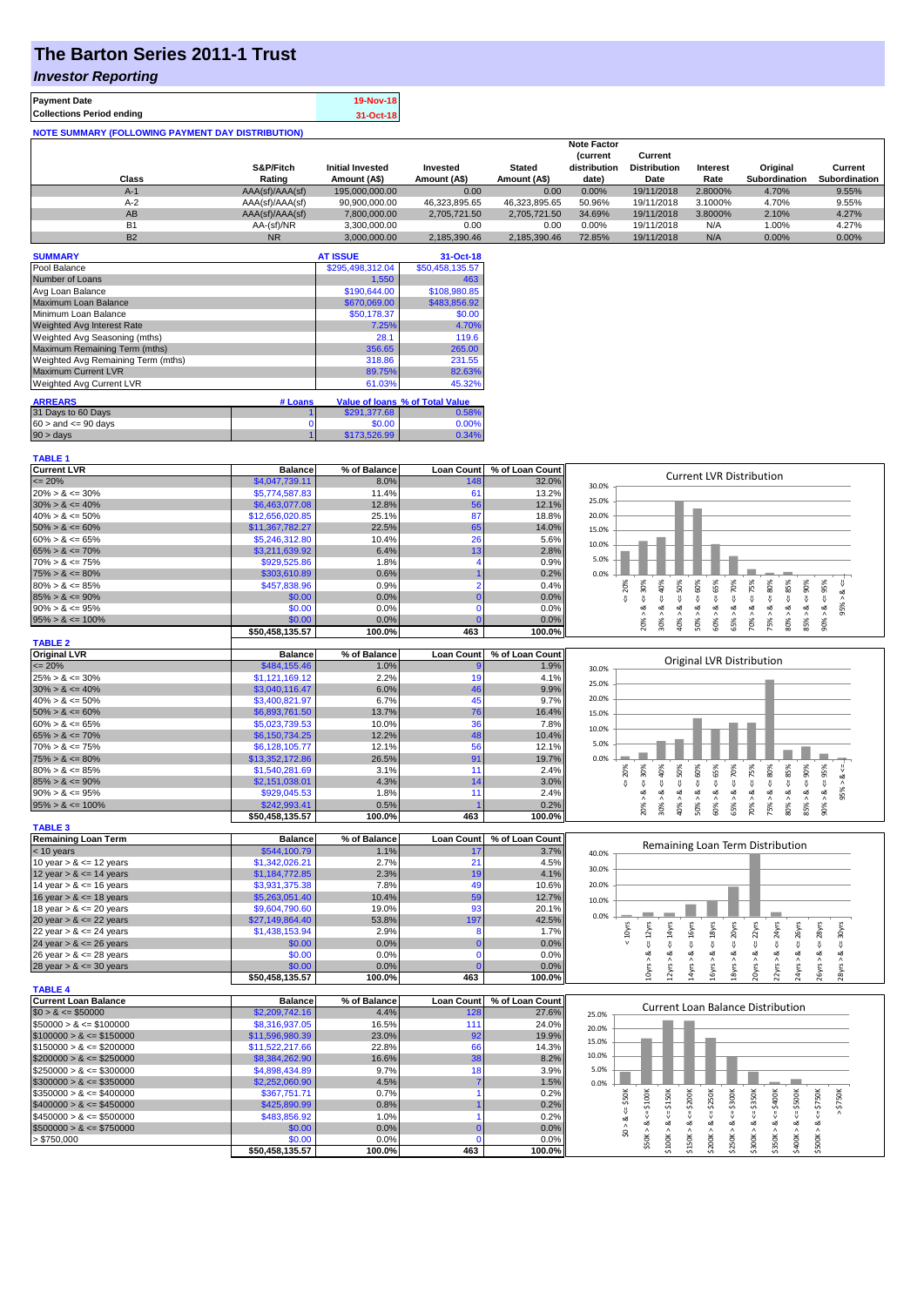# **The Barton Series 2011-1 Trust**

### *Investor Reporting*

**TABLE 1**

| <b>Payment Date</b>                                      | 19-Nov-18 |
|----------------------------------------------------------|-----------|
| <b>Collections Period ending</b>                         | 31-Oct-18 |
| <b>NOTE SUMMARY (FOLLOWING PAYMENT DAY DISTRIBUTION)</b> |           |

|           |                 |                         |               |               | <b>Note Factor</b> |                     |                 |               |               |
|-----------|-----------------|-------------------------|---------------|---------------|--------------------|---------------------|-----------------|---------------|---------------|
|           |                 |                         |               |               | <b>Current</b>     | Current             |                 |               |               |
|           | S&P/Fitch       | <b>Initial Invested</b> | Invested      | <b>Stated</b> | distribution       | <b>Distribution</b> | <b>Interest</b> | Original      | Current       |
| Class     | Rating          | Amount (A\$)            | Amount (A\$)  | Amount (A\$)  | date)              | Date                | Rate            | Subordination | Subordination |
| $A-1$     | AAA(sf)/AAA(sf) | 195,000,000,00          | 0.00          | 0.00          | 0.00%              | 19/11/2018          | 2.8000%         | 4.70%         | 9.55%         |
| $A-2$     | AAA(sf)/AAA(sf) | 90,900,000.00           | 46.323.895.65 | 46.323.895.65 | 50.96%             | 19/11/2018          | 3.1000%         | 4.70%         | 9.55%         |
| AB        | AAA(sf)/AAA(sf) | 7.800.000.00            | 2.705.721.50  | 2.705.721.50  | 34.69%             | 19/11/2018          | 3.8000%         | 2.10%         | 4.27%         |
| B1        | AA-(sf)/NR      | 3.300.000.00            | 0.00          | 0.00          | $0.00\%$           | 19/11/2018          | N/A             | 1.00%         | 4.27%         |
| <b>B2</b> | N <sub>R</sub>  | 3.000.000.00            | 2.185.390.46  | 2.185.390.46  | 72.85%             | 19/11/2018          | N/A             | $0.00\%$      | 0.00%         |

| <b>SUMMARY</b>                     |         | <b>AT ISSUE</b>  | 31-Oct-18                       |
|------------------------------------|---------|------------------|---------------------------------|
| Pool Balance                       |         | \$295,498,312.04 | \$50,458,135.57                 |
| Number of Loans                    |         | 1,550            | 463                             |
| Avg Loan Balance                   |         | \$190,644.00     | \$108,980.85                    |
| Maximum Loan Balance               |         | \$670,069.00     | \$483,856.92                    |
| Minimum Loan Balance               |         | \$50,178.37      | \$0.00                          |
| <b>Weighted Avg Interest Rate</b>  |         | 7.25%            | 4.70%                           |
| Weighted Avg Seasoning (mths)      |         | 28.1             | 119.6                           |
| Maximum Remaining Term (mths)      |         | 356.65           | 265.00                          |
| Weighted Avg Remaining Term (mths) |         | 318.86           | 231.55                          |
| <b>Maximum Current LVR</b>         |         | 89.75%           | 82.63%                          |
| Weighted Avg Current LVR           |         | 61.03%           | 45.32%                          |
| <b>ARREARS</b>                     | # Loans |                  | Value of Ioans % of Total Value |
| 31 Days to 60 Days                 |         | \$291,377.68     | 0.58%                           |
|                                    |         |                  |                                 |
| $60 >$ and $\leq 90$ days          | 0       | \$0.00           | 0.00%                           |
| $90 > \text{days}$                 |         | \$173,526.99     | 0.34%                           |

| <b>Current LVR</b>          | <b>Balance</b>  | % of Balance   | Loan Count        | % of Loan Count | <b>Current LVR Distribution</b>                                                                                                                                                                                          |
|-----------------------------|-----------------|----------------|-------------------|-----------------|--------------------------------------------------------------------------------------------------------------------------------------------------------------------------------------------------------------------------|
| $= 20%$                     | \$4,047,739.11  | 8.0%           | 148               | 32.0%           | 30.0%                                                                                                                                                                                                                    |
| $20\% > 8 \le 30\%$         | \$5,774,587.83  | 11.4%          | 61                | 13.2%           |                                                                                                                                                                                                                          |
| $30\% > 8 \le 40\%$         | \$6,463,077.08  | 12.8%          | 56                | 12.1%           | 25.0%                                                                                                                                                                                                                    |
| $40\% > 8 \le 50\%$         | \$12,656,020.85 | 25.1%          | 87                | 18.8%           | 20.0%                                                                                                                                                                                                                    |
| $50\% > 8 \le 60\%$         | \$11,367,782.27 | 22.5%          | 65                | 14.0%           | 15.0%                                                                                                                                                                                                                    |
| $60\% > 8 \le 65\%$         | \$5,246,312.80  | 10.4%          | 26                | 5.6%            |                                                                                                                                                                                                                          |
| $65\% > 8 \le 70\%$         | \$3,211,639.92  | 6.4%           | 13                | 2.8%            | 10.0%                                                                                                                                                                                                                    |
| $70\% > 8 \le 75\%$         | \$929,525.86    | 1.8%           |                   | 0.9%            | 5.0%                                                                                                                                                                                                                     |
| $75\% > 8 \le 80\%$         | \$303,610.89    | 0.6%           |                   | 0.2%            | 0.0%                                                                                                                                                                                                                     |
| $80\% > 8 \le 85\%$         | \$457,838.96    | 0.9%           | 2                 | 0.4%            | 20%<br>40%<br>$50\%$<br>80%<br>30%<br>75%                                                                                                                                                                                |
| $85\% > 8 \le 90\%$         | \$0.00          | 0.0%           |                   | 0.0%            | $4 = 60\%$<br>$4 = 70\%$<br>8 <<br>J.                                                                                                                                                                                    |
| $90\% > 8 \le 95\%$         | \$0.00          | 0.0%           | $\Omega$          | 0.0%            | $<=65%$<br>V<br>$\overline{\mathsf{v}}$<br>$\sqrt{ }$<br>₹<br>8 < 1<br>95% ><br>ż<br>ż<br>જં<br>જ<br>∞                                                                                                                   |
|                             | \$0.00          | 0.0%           |                   | 0.0%            | $\land$<br>$\wedge$<br>$\wedge$                                                                                                                                                                                          |
| $95\% > 8 \le 100\%$        |                 |                |                   |                 | $80\% > 8 <= 85\%$<br>$85\% > 8 \leq 90\%$<br>$90\% > 8 <= 95\%$<br>$50\% > 8$<br>60% > 3<br>65% > i<br>75% > i<br>30%<br>40%<br>70%<br>20%                                                                              |
|                             | \$50,458,135.57 | 100.0%         | 463               | 100.0%          |                                                                                                                                                                                                                          |
| <b>TABLE 2</b>              |                 |                |                   |                 |                                                                                                                                                                                                                          |
| <b>Original LVR</b>         | <b>Balance</b>  | % of Balance   | <b>Loan Count</b> | % of Loan Count | Original LVR Distribution                                                                                                                                                                                                |
| $\leq$ 20%                  | \$484,155.46    | 1.0%           |                   | 1.9%            | 30.0%                                                                                                                                                                                                                    |
| $25\% > 8 \le 30\%$         | \$1,121,169.12  | 2.2%           | 19                | 4.1%            | 25.0%                                                                                                                                                                                                                    |
| $30\% > 8 \le 40\%$         | \$3,040,116.47  | 6.0%           | 46                | 9.9%            |                                                                                                                                                                                                                          |
| $40\% > 8 \le 50\%$         | \$3,400,821.97  | 6.7%           | 45                | 9.7%            | 20.0%                                                                                                                                                                                                                    |
| $50\% > 8 \le 60\%$         | \$6,893,761.50  | 13.7%          | 76                | 16.4%           | 15.0%                                                                                                                                                                                                                    |
| $60\% > 8 \le 65\%$         | \$5,023,739.53  | 10.0%          | 36                | 7.8%            | 10.0%                                                                                                                                                                                                                    |
| $65\% > 8 \le 70\%$         | \$6,150,734.25  | 12.2%          | 48                | 10.4%           |                                                                                                                                                                                                                          |
| $70\% > 8 \le 75\%$         | \$6,128,105.77  | 12.1%          | 56                | 12.1%           | 5.0%                                                                                                                                                                                                                     |
| $75\% > 8 \le 80\%$         | \$13,352,172.86 | 26.5%          | 91                | 19.7%           | 0.0%                                                                                                                                                                                                                     |
| $80\% > 8 \le 85\%$         | \$1,540,281.69  | 3.1%           | 11                | 2.4%            | $\leq 85\%$<br>$85\% > 8 \le 90\%$<br>40%<br>$4 = 50\%$<br>$4 = 60\%$<br>$4 = 65%$<br>$4 = 70\%$<br>$4 = 75\%$<br>$\leq 80\%$<br>$4 = 95\%$<br>20%<br>$4 = 30\%$<br>$&\leq$                                              |
| $85\% > 8 \le 90\%$         | \$2,151,038.01  | 4.3%           | 14                | 3.0%            | J.                                                                                                                                                                                                                       |
| $90\% > 8 \le 95\%$         | \$929,045.53    | 1.8%           | 11                | 2.4%            | 95% ><br>ಷ<br>œ<br>ಷ<br>∞                                                                                                                                                                                                |
| $95\% > 8 \le 100\%$        | \$242,993.41    | 0.5%           |                   | 0.2%            | $50\% > 8.$<br>60% > 8<br>75% > 8.<br>$80\% > 8.$<br>$-8 < 800$<br>65% > 8.<br>30% ><br>70% ><br>20% ><br>40% >                                                                                                          |
|                             | \$50,458,135.57 | 100.0%         | 463               | 100.0%          |                                                                                                                                                                                                                          |
| <b>TABLE 3</b>              |                 |                |                   |                 |                                                                                                                                                                                                                          |
| <b>Remaining Loan Term</b>  | <b>Balance</b>  | % of Balance   | <b>Loan Count</b> | % of Loan Count |                                                                                                                                                                                                                          |
| $< 10$ years                | \$544,100.79    | 1.1%           | 17                | 3.7%            | Remaining Loan Term Distribution                                                                                                                                                                                         |
| 10 year $> 8 \le 12$ years  | \$1,342,026.21  | 2.7%           | 21                | 4.5%            | 40.0%                                                                                                                                                                                                                    |
| 12 year $> 8 \le 14$ years  | \$1,184,772.85  | 2.3%           | 19                | 4.1%            | 30.0%                                                                                                                                                                                                                    |
| 14 year $> 8 \le 16$ years  | \$3,931,375.38  | 7.8%           | 49                | 10.6%           | 20.0%                                                                                                                                                                                                                    |
|                             |                 |                | 59                | 12.7%           |                                                                                                                                                                                                                          |
| 16 year $> 8 \le 18$ years  | \$5,263,051.40  | 10.4%<br>19.0% | 93                |                 | 10.0%                                                                                                                                                                                                                    |
| 18 year $> 8 \le 20$ years  | \$9,604,790.60  |                |                   | 20.1%           | 0.0%                                                                                                                                                                                                                     |
| 20 year $> 8 \le 22$ years  | \$27,149,864.40 | 53.8%          | 197               | 42.5%           |                                                                                                                                                                                                                          |
| 22 year $> 8 \le 24$ years  | \$1,438,153.94  | 2.9%           | 8                 | 1.7%            | $\epsilon$ = 22 $\gamma$ rs<br>$4 = 16$ yrs<br>$\epsilon$ = 18 $\gamma$ rs<br>$\epsilon$ = $20$ yrs<br>$\epsilon$ = 24yrs<br>$\leq$ 28yrs<br>$\leq$ 30yrs<br>$\leq 12$ yrs<br>$\leq$ 14yrs<br>$\leq$ 26yrs<br>$< 10$ yrs |
| 24 year $> 8 \le 26$ years  | \$0.00          | 0.0%           |                   | 0.0%            |                                                                                                                                                                                                                          |
| 26 year $> 8 \le 28$ years  | \$0.00          | 0.0%           | $\mathbf 0$       | 0.0%            | ವ                                                                                                                                                                                                                        |
| 28 year $> 8 \le 30$ years  | \$0.00          | 0.0%           |                   | 0.0%            | 12yrs > 8<br>20yrs > 8<br>22yrs > 8<br>24yrs > 8<br>26yrs > 8<br>28yrs > 8<br>10yrs > 8<br>14yrs > 8<br>18yrs > 8<br>16yrs                                                                                               |
|                             | \$50,458,135.57 | 100.0%         | 463               | 100.0%          |                                                                                                                                                                                                                          |
| <b>TABLE 4</b>              |                 |                |                   |                 |                                                                                                                                                                                                                          |
| <b>Current Loan Balance</b> | <b>Balance</b>  | % of Balance   | <b>Loan Count</b> | % of Loan Count | <b>Current Loan Balance Distribution</b>                                                                                                                                                                                 |
| $$0 > 8 \leq $50000$        | \$2,209,742.16  | 4.4%           | 128               | 27.6%           | 25.0%                                                                                                                                                                                                                    |
| $$50000 > 8 \le $100000$    | \$8,316,937.05  | 16.5%          | 111               | 24.0%           | 20.0%                                                                                                                                                                                                                    |
| $$100000 > 8 \leq $150000$  | \$11,596,980.39 | 23.0%          | 92                | 19.9%           | 15.0%                                                                                                                                                                                                                    |
| $$150000 > 8 \leq $200000$  | \$11,522,217.66 | 22.8%          | 66                | 14.3%           |                                                                                                                                                                                                                          |
| $$200000 > 8 \leq $250000$  | \$8,384,262.90  | 16.6%          | 38                | 8.2%            | 10.0%                                                                                                                                                                                                                    |
| $$250000 > 8 \leq $300000$  | \$4,898,434.89  | 9.7%           | 18                | 3.9%            | 5.0%                                                                                                                                                                                                                     |
| $$300000 > 8 \leq $350000$  | \$2,252,060.90  | 4.5%           |                   | 1.5%            | 0.0%                                                                                                                                                                                                                     |
| $$350000 > 8 \leq $400000$  | \$367,751.71    | 0.7%           |                   | 0.2%            |                                                                                                                                                                                                                          |
| $$400000 > 8 \leq $450000$  | \$425,890.99    | 0.8%           |                   | 0.2%            | \$750K<br>$\leq$ \$50K<br>$$50K > 8 <= $100K$<br>$4 = $250K$<br>$$250K > 8 <= $300K$<br>$$300K > 8 <= $350K$<br>$$500K > 8 <= $750K$<br>$4 = $150K$<br>\$200K<br>$$350K > 8 <= $400K$<br>$$400K > 8 <= $500K$            |
| $$450000 > 8 \leq $500000$  | \$483,856.92    | 1.0%           |                   | 0.2%            | ₹                                                                                                                                                                                                                        |
| $$500000 > 8 \leq $750000$  | \$0.00          | 0.0%           |                   | 0.0%            | \$0 > 8.                                                                                                                                                                                                                 |
| > \$750,000                 | \$0.00          | 0.0%           | $\Omega$          | 0.0%            | \$200K > 8<br>\$100K > 8<br>\$150K > 8                                                                                                                                                                                   |
|                             | \$50,458,135.57 | 100.0%         | 463               | 100.0%          |                                                                                                                                                                                                                          |
|                             |                 |                |                   |                 |                                                                                                                                                                                                                          |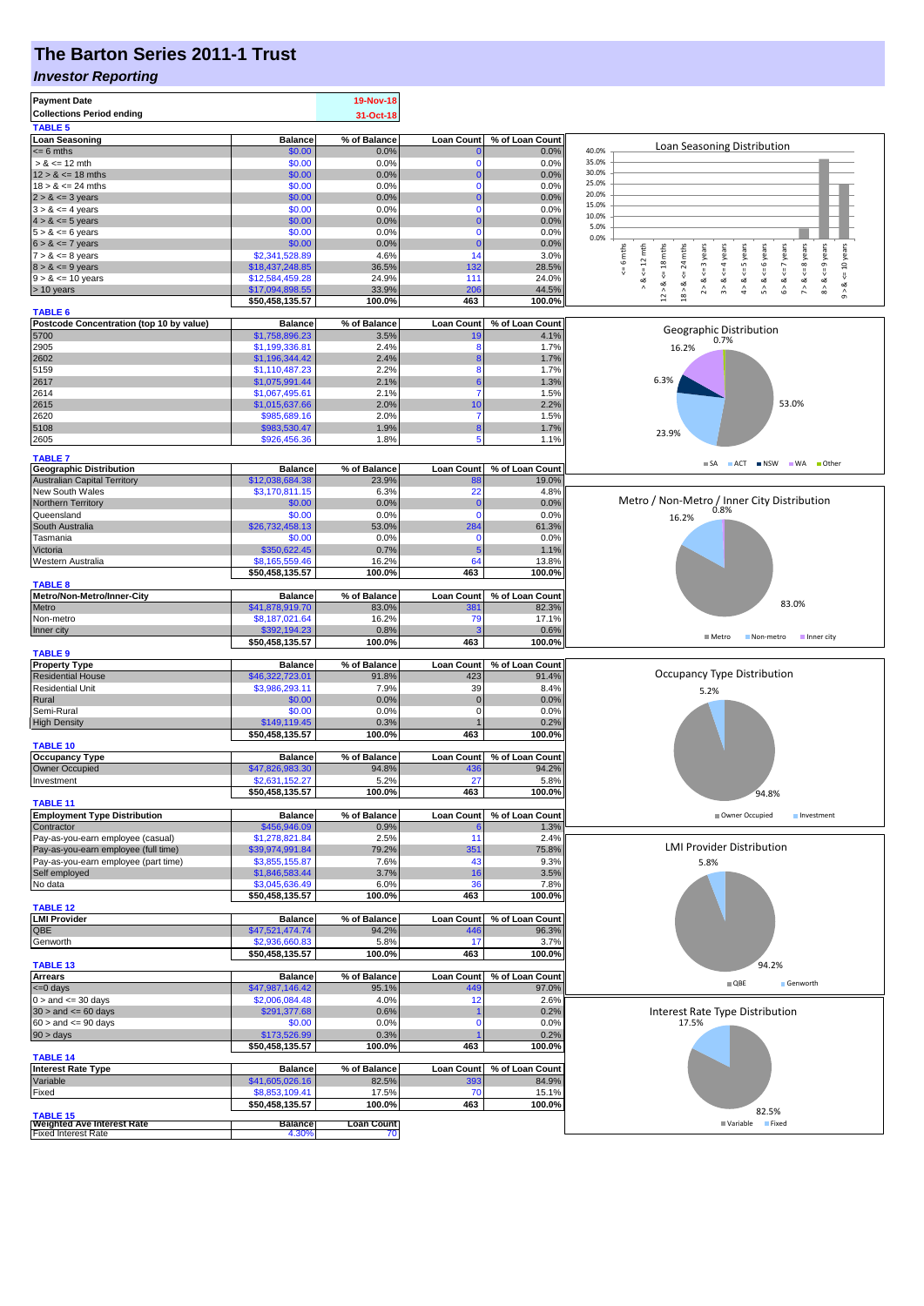# **The Barton Series 2011-1 Trust**

#### *Investor Reporting*

| <b>Payment Date</b><br><b>Collections Period ending</b><br><b>TABLE 5</b>    |                                   | 19-Nov-18<br>31-Oct-18 |                   |                 |                                                                                                                                                                                           |
|------------------------------------------------------------------------------|-----------------------------------|------------------------|-------------------|-----------------|-------------------------------------------------------------------------------------------------------------------------------------------------------------------------------------------|
| <b>Loan Seasoning</b>                                                        | <b>Balance</b>                    | % of Balance           | Loan Count        | % of Loan Count |                                                                                                                                                                                           |
| $= 6$ mths                                                                   | \$0.00                            | 0.0%                   |                   | 0.0%            | Loan Seasoning Distribution<br>40.0%                                                                                                                                                      |
| $> 8 \le 12$ mth                                                             | \$0.00                            | 0.0%                   | 0                 | 0.0%            | 35.0%                                                                                                                                                                                     |
| $12 > 8 \le 18$ mths                                                         | \$0.00                            | 0.0%                   | 0                 | 0.0%            | 30.0%                                                                                                                                                                                     |
| $18 > 8 \le 24$ mths                                                         | \$0.00                            | 0.0%                   | $\Omega$          | 0.0%            | 25.0%                                                                                                                                                                                     |
| $2 > 8 \le 3$ years                                                          | \$0.00                            | 0.0%                   |                   | 0.0%            | 20.0%                                                                                                                                                                                     |
| $3 > 8 \le 4$ years                                                          | \$0.00                            | 0.0%                   | 0                 | 0.0%            | 15.0%                                                                                                                                                                                     |
| $4 > 8 \le 5$ years                                                          | \$0.00                            | 0.0%                   |                   | 0.0%            | 10.0%                                                                                                                                                                                     |
| $5 > 8 \le 6$ years                                                          | \$0.00                            | 0.0%                   | $\bf{0}$          | 0.0%            | 5.0%<br>0.0%                                                                                                                                                                              |
| $6 > 8 \le 7$ years                                                          | \$0.00                            | 0.0%                   | 0                 | 0.0%            |                                                                                                                                                                                           |
| $7 > 8 \le 8$ years                                                          | \$2,341,528.89                    | 4.6%                   | 14                | 3.0%            | $8 > 8 < = 9$ years<br>10 years<br>mths<br>mths<br>$\leq$ = 3 years<br>$6 > 8 < z < 7$ years<br>$\leq$ = 8 years<br>$\leq 12$ mth<br>$\leq$ = 4 years<br>$4 > 8 < z = 5$ years<br>6 years |
| $8 > 8 \le 9$ years                                                          | \$18,437,248.85                   | 36.5%                  | 132               | 28.5%           | $\circ$<br>$\overline{24}$<br>$\sqrt{ }$                                                                                                                                                  |
| $9 > 8 \le 10$ years                                                         | \$12,584,459.28                   | 24.9%                  | 111               | 24.0%           | ₩<br>$\overset{  }{\mathsf{v}}$<br>ಷ<br>ಷ                                                                                                                                                 |
| $> 10$ years                                                                 | \$17,094,898.55                   | 33.9%                  | 206               | 44.5%           | $12 > 8$ <= 18 mths<br>$2 > 8$ .<br>3 > 8<br>$5 > 8$ .<br>$18 > 8$<br>$9 - 8$<br>$\wedge$<br>÷,                                                                                           |
|                                                                              | \$50,458,135.57                   | 100.0%                 | 463               | 100.0%          |                                                                                                                                                                                           |
| <b>TABLE 6</b>                                                               |                                   |                        |                   |                 |                                                                                                                                                                                           |
| Postcode Concentration (top 10 by value)                                     | <b>Balance</b>                    | % of Balance           | Loan Count        | % of Loan Count | Geographic Distribution                                                                                                                                                                   |
| 5700                                                                         | \$1,758,896.23                    | 3.5%                   | 19                | 4.1%            | 0.7%                                                                                                                                                                                      |
| 2905                                                                         | \$1,199,336.81                    | 2.4%                   | ٤                 | 1.7%            | 16.2%                                                                                                                                                                                     |
| 2602                                                                         | \$1,196,344.42                    | 2.4%                   | 8                 | 1.7%            |                                                                                                                                                                                           |
| 5159                                                                         | \$1,110,487.23                    | 2.2%                   | 8                 | 1.7%            | 6.3%                                                                                                                                                                                      |
| 2617                                                                         | \$1,075,991.44                    | 2.1%                   | 6                 | 1.3%            |                                                                                                                                                                                           |
| 2614                                                                         | \$1,067,495.61                    | 2.1%                   |                   | 1.5%            |                                                                                                                                                                                           |
| 2615                                                                         | \$1,015,637.66                    | 2.0%                   | 10                | 2.2%            | 53.0%                                                                                                                                                                                     |
| 2620                                                                         | \$985,689.16                      | 2.0%                   |                   | 1.5%            |                                                                                                                                                                                           |
| 5108                                                                         | \$983,530.47                      | 1.9%                   | 8                 | 1.7%            | 23.9%                                                                                                                                                                                     |
| 2605                                                                         | \$926,456.36                      | 1.8%                   | 5                 | 1.1%            |                                                                                                                                                                                           |
| <b>TABLE 7</b>                                                               |                                   |                        |                   |                 |                                                                                                                                                                                           |
| <b>Geographic Distribution</b>                                               | <b>Balance</b>                    | % of Balance           | <b>Loan Count</b> | % of Loan Count | SA ACT INSW WA Other                                                                                                                                                                      |
| <b>Australian Capital Territory</b>                                          | \$12,038,684.38                   | 23.9%                  | 88                | 19.0%           |                                                                                                                                                                                           |
| New South Wales                                                              | \$3,170,811.15                    | 6.3%                   | 22                | 4.8%            |                                                                                                                                                                                           |
| Northern Territory                                                           | \$0.00                            | 0.0%                   | $\Omega$          | 0.0%            | Metro / Non-Metro / Inner City Distribution                                                                                                                                               |
| Queensland                                                                   | \$0.00                            | 0.0%                   | 0                 | 0.0%            | 16.2%                                                                                                                                                                                     |
| South Australia                                                              | \$26,732,458.13                   | 53.0%                  | 284               | 61.3%           |                                                                                                                                                                                           |
| Tasmania                                                                     | \$0.00                            | 0.0%                   | $\mathbf 0$       | 0.0%            |                                                                                                                                                                                           |
| Victoria                                                                     | \$350,622.45                      | 0.7%                   | 5                 | 1.1%            |                                                                                                                                                                                           |
| Western Australia                                                            | \$8,165,559.46                    | 16.2%                  | 64                | 13.8%           |                                                                                                                                                                                           |
|                                                                              | \$50,458,135.57                   | 100.0%                 | 463               | 100.0%          |                                                                                                                                                                                           |
| <b>TABLE 8</b>                                                               |                                   |                        |                   |                 |                                                                                                                                                                                           |
| Metro/Non-Metro/Inner-City                                                   | <b>Balance</b>                    | % of Balance           | <b>Loan Count</b> | % of Loan Count |                                                                                                                                                                                           |
| Metro                                                                        | \$41,878,919.70                   | 83.0%                  | 38 <sup>′</sup>   | 82.3%           | 83.0%                                                                                                                                                                                     |
| Non-metro                                                                    | \$8,187,021.64                    | 16.2%                  | 79                | 17.1%           |                                                                                                                                                                                           |
| Inner city                                                                   | \$392,194.23                      | 0.8%                   |                   | 0.6%            | ■ Metro<br>Inner city<br>Non-metro                                                                                                                                                        |
|                                                                              | \$50,458,135.57                   | 100.0%                 | 463               | 100.0%          |                                                                                                                                                                                           |
| <b>TABLE 9</b>                                                               |                                   |                        |                   |                 |                                                                                                                                                                                           |
| <b>Property Type</b>                                                         | <b>Balance</b>                    | % of Balance           | <b>Loan Count</b> | % of Loan Count | Occupancy Type Distribution                                                                                                                                                               |
| <b>Residential House</b>                                                     | \$46,322,723.01                   | 91.8%                  | 423               | 91.4%           |                                                                                                                                                                                           |
| <b>Residential Unit</b>                                                      | \$3,986,293.11                    | 7.9%<br>0.0%           | 39                | 8.4%            | 5.2%                                                                                                                                                                                      |
| Rural                                                                        | \$0.00                            |                        | $\mathbf 0$       | 0.0%            |                                                                                                                                                                                           |
|                                                                              |                                   |                        |                   |                 |                                                                                                                                                                                           |
| Semi-Rural                                                                   | \$0.00                            | 0.0%                   | 0                 | 0.0%            |                                                                                                                                                                                           |
| <b>High Density</b>                                                          | \$149,119.45                      | 0.3%                   |                   | 0.2%            |                                                                                                                                                                                           |
|                                                                              | \$50,458,135.57                   | 100.0%                 | 463               | 100.0%          |                                                                                                                                                                                           |
| <b>TABLE 10</b>                                                              |                                   |                        |                   |                 |                                                                                                                                                                                           |
| Occupancy Type                                                               | <b>Balance</b>                    | % of Balance           | <b>Loan Count</b> | % of Loan Count |                                                                                                                                                                                           |
| <b>Owner Occupied</b>                                                        | \$47,826,983.30                   | 94.8%                  | 436               | 94.2%           |                                                                                                                                                                                           |
| Investment                                                                   | \$2,631,152.27                    | 5.2%                   | 27                | 5.8%            |                                                                                                                                                                                           |
|                                                                              | \$50,458,135.57                   | 100.0%                 | 463               | 100.0%          | 94.8%                                                                                                                                                                                     |
| <b>TABLE 11</b>                                                              | <b>Balance</b>                    | % of Balance           | <b>Loan Count</b> | % of Loan Count | Investment                                                                                                                                                                                |
| <b>Employment Type Distribution</b><br>Contractor                            | \$456,946.09                      | 0.9%                   |                   | 1.3%            | Owner Occupied                                                                                                                                                                            |
|                                                                              | \$1,278,821.84                    | 2.5%                   | 11                | 2.4%            |                                                                                                                                                                                           |
| Pay-as-you-earn employee (casual)                                            |                                   | 79.2%                  |                   | 75.8%           | <b>LMI Provider Distribution</b>                                                                                                                                                          |
| Pay-as-you-earn employee (full time)<br>Pay-as-you-earn employee (part time) | \$39,974,991.84<br>\$3,855,155.87 | 7.6%                   | 351<br>43         | 9.3%            |                                                                                                                                                                                           |
| Self employed                                                                |                                   | 3.7%                   | 16                | 3.5%            | 5.8%                                                                                                                                                                                      |
| No data                                                                      | \$1,846,583.44<br>\$3,045,636.49  | 6.0%                   | 36                | 7.8%            |                                                                                                                                                                                           |
|                                                                              | \$50,458,135.57                   | 100.0%                 | 463               | 100.0%          |                                                                                                                                                                                           |
| <b>TABLE 12</b>                                                              |                                   |                        |                   |                 |                                                                                                                                                                                           |
| <b>LMI Provider</b>                                                          | <b>Balance</b>                    | % of Balance           | <b>Loan Count</b> | % of Loan Count |                                                                                                                                                                                           |
| QBE                                                                          | \$47,521,474.74                   | 94.2%                  | 446               | 96.3%           |                                                                                                                                                                                           |
| Genworth                                                                     | \$2,936,660.83                    | 5.8%                   | 17                | 3.7%            |                                                                                                                                                                                           |
|                                                                              | \$50,458,135.57                   | 100.0%                 | 463               | 100.0%          |                                                                                                                                                                                           |
| <b>TABLE 13</b>                                                              |                                   |                        |                   |                 | 94.2%                                                                                                                                                                                     |
| Arrears                                                                      | <b>Balance</b>                    | % of Balance           | <b>Loan Count</b> | % of Loan Count |                                                                                                                                                                                           |
| $= 0$ days                                                                   | \$47,987,146.42                   | 95.1%                  | 449               | 97.0%           | $\blacksquare$ QBE<br>Genworth                                                                                                                                                            |
| $0 >$ and $\leq 30$ days                                                     | \$2,006,084.48                    | 4.0%                   | 12                | 2.6%            |                                                                                                                                                                                           |
| $30 >$ and $\leq 60$ days                                                    | \$291,377.68                      | 0.6%                   |                   | 0.2%            | Interest Rate Type Distribution                                                                                                                                                           |
| $60 >$ and $\leq 90$ days                                                    | \$0.00                            | 0.0%                   | $\Omega$          | 0.0%            | 17.5%                                                                                                                                                                                     |
| 90 > days                                                                    | \$173,526.99                      | 0.3%                   |                   | 0.2%            |                                                                                                                                                                                           |
|                                                                              | \$50,458,135.57                   | 100.0%                 | 463               | 100.0%          |                                                                                                                                                                                           |
| <b>TABLE 14</b>                                                              |                                   |                        |                   |                 |                                                                                                                                                                                           |
| <b>Interest Rate Type</b>                                                    | <b>Balance</b>                    | % of Balance           | <b>Loan Count</b> | % of Loan Count |                                                                                                                                                                                           |
| Variable                                                                     | \$41,605,026.16                   | 82.5%                  | 393               | 84.9%           |                                                                                                                                                                                           |
| Fixed                                                                        | \$8,853,109.41                    | 17.5%                  | 70                | 15.1%           |                                                                                                                                                                                           |
|                                                                              | \$50,458,135.57                   | 100.0%                 | 463               | 100.0%          | 82.5%                                                                                                                                                                                     |
| <b>TABLE 15</b><br><b>Weighted Ave Interest Rate</b>                         | <b>Balance</b><br>4.30%           | <b>Loan Count</b>      |                   |                 | Variable Fixed                                                                                                                                                                            |